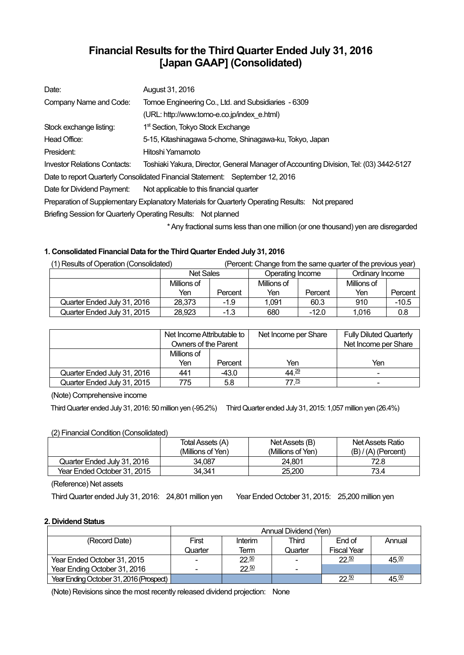# **Financial Results for the Third Quarter Ended July 31, 2016 [Japan GAAP] (Consolidated)**

| Date:                                                                                            | August 31, 2016                                                                                   |  |  |  |  |
|--------------------------------------------------------------------------------------------------|---------------------------------------------------------------------------------------------------|--|--|--|--|
| Company Name and Code:                                                                           | Tomoe Engineering Co., Ltd. and Subsidiaries - 6309                                               |  |  |  |  |
|                                                                                                  | (URL: http://www.tomo-e.co.jp/index e.html)                                                       |  |  |  |  |
| Stock exchange listing:                                                                          | 1 <sup>st</sup> Section, Tokyo Stock Exchange                                                     |  |  |  |  |
| Head Office:                                                                                     | 5-15, Kitashinagawa 5-chome, Shinagawa-ku, Tokyo, Japan                                           |  |  |  |  |
| President:                                                                                       | Hitoshi Yamamoto                                                                                  |  |  |  |  |
| <b>Investor Relations Contacts:</b>                                                              | Toshiaki Yakura, Director, General Manager of Accounting Division, Tel: (03) 3442-5127            |  |  |  |  |
|                                                                                                  | Date to report Quarterly Consolidated Financial Statement: September 12, 2016                     |  |  |  |  |
| Date for Dividend Payment:                                                                       | Not applicable to this financial quarter                                                          |  |  |  |  |
| Preparation of Supplementary Explanatory Materials for Quarterly Operating Results: Not prepared |                                                                                                   |  |  |  |  |
| Briefing Session for Quarterly Operating Results: Not planned                                    |                                                                                                   |  |  |  |  |
|                                                                                                  | * And the changed action to a common and model on the common and all common all common and common |  |  |  |  |

\* Any fractional sums less than one million (or one thousand) yen are disregarded

## **1. Consolidated Financial Data for the Third Quarter Ended July 31, 2016**

| (1) Results of Operation (Consolidated) |                  | (Percent: Change from the same quarter of the previous year) |                  |         |                 |         |
|-----------------------------------------|------------------|--------------------------------------------------------------|------------------|---------|-----------------|---------|
|                                         | <b>Net Sales</b> |                                                              | Operating Income |         | Ordinary Income |         |
|                                         | Millions of      |                                                              | Millions of      |         | Millions of     |         |
|                                         | Yen              | Percent                                                      | Yen              | Percent | Yen             | Percent |
| Quarter Ended July 31, 2016             | 28,373           | $-1.9$                                                       | 1.091            | 60.3    | 910             | $-10.5$ |
| Quarter Ended July 31, 2015             | 28,923           | $-1.3$                                                       | 680              | $-12.0$ | 1,016           | 0.8     |

|                             | Net Income Attributable to<br>Owners of the Parent |         | Net Income per Share | <b>Fully Diluted Quarterly</b><br>Net Income per Share |
|-----------------------------|----------------------------------------------------|---------|----------------------|--------------------------------------------------------|
|                             | Millions of                                        |         |                      |                                                        |
|                             | Yen                                                | Percent | Yen                  | Yen                                                    |
| Quarter Ended July 31, 2016 | 441                                                | $-43.0$ | $44^{29}$            | $\blacksquare$                                         |
| Quarter Ended July 31, 2015 | 775                                                | 5.8     | 77 <sup>75</sup>     | ۰                                                      |

(Note) Comprehensive income

Third Quarter ended July 31, 2016: 50 million yen (-95.2%) Third Quarter ended July 31, 2015: 1,057 million yen (26.4%)

## (2) Financial Condition (Consolidated)

|                             | Total Assets (A)  | Net Assets (B)    | Net Assets Ratio      |
|-----------------------------|-------------------|-------------------|-----------------------|
|                             | (Millions of Yen) | (Millions of Yen) | $(B) / (A)$ (Percent) |
| Quarter Ended July 31, 2016 | 34.087            | 24.801            | 72.8                  |
| Year Ended October 31, 2015 | 34.341            | 25.200            | 73.4                  |

(Reference) Net assets

Third Quarter ended July 31, 2016: 24,801 million yen Year Ended October 31, 2015: 25,200 million yen

## **2. Dividend Status**

|                                         | Annual Dividend (Yen)    |         |         |                    |        |  |
|-----------------------------------------|--------------------------|---------|---------|--------------------|--------|--|
| (Record Date)                           | First                    | Interim | Third   | End of             | Annual |  |
|                                         | Quarter                  | Term    | Quarter | <b>Fiscal Year</b> |        |  |
| Year Ended October 31, 2015             | $\overline{\phantom{0}}$ | 22.50   |         | 22.50              | 45.00  |  |
| Year Ending October 31, 2016            |                          | 22.50   |         |                    |        |  |
| Year Ending October 31, 2016 (Prospect) |                          |         |         | $22^{50}$          | 45.≌   |  |

(Note) Revisions since the most recently released dividend projection: None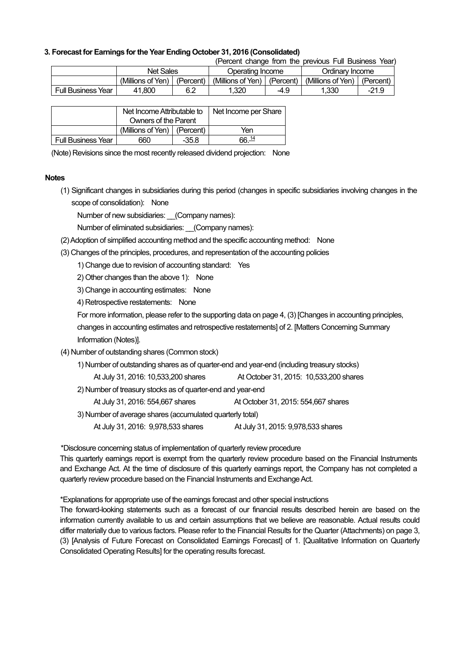### **3. Forecast for Earnings for the Year Ending October 31, 2016 (Consolidated)**

(Percent change from the previous Full Business Year)

|                           | Net Sales         |           | Jperating Income  |           | Ordinarv Income   |           |
|---------------------------|-------------------|-----------|-------------------|-----------|-------------------|-----------|
|                           | (Millions of Yen) | (Percent) | (Millions of Yen) | (Percent) | (Millions of Yen) | (Percent) |
| <b>Full Business Year</b> | 41.800            | 6.2       | .320              | -4.9      | .330              | $-21.9$   |

|                           | Net Income Attributable to    |         | Net Income per Share |
|---------------------------|-------------------------------|---------|----------------------|
|                           | Owners of the Parent          |         |                      |
|                           | (Millions of Yen)   (Percent) |         | Yen                  |
| <b>Full Business Year</b> | 660                           | $-35.8$ | <u>ิคค 14</u>        |

(Note) Revisions since the most recently released dividend projection: None

#### **Notes**

(1) Significant changes in subsidiaries during this period (changes in specific subsidiaries involving changes in the scope of consolidation): None

Number of new subsidiaries: \_\_(Company names):

Number of eliminated subsidiaries: (Company names):

- (2) Adoption of simplified accounting method and the specific accounting method: None
- (3) Changes of the principles, procedures, and representation of the accounting policies

1) Change due to revision of accounting standard: Yes

2) Other changes than the above 1): None

3) Change in accounting estimates: None

4) Retrospective restatements: None

For more information, please refer to the supporting data on page 4, (3) [Changes in accounting principles,

changes in accounting estimates and retrospective restatements] of 2. [Matters Concerning Summary Information (Notes)].

- (4) Number of outstanding shares (Common stock)
	- 1) Number of outstanding shares as of quarter-end and year-end (including treasury stocks)
		- At July 31, 2016: 10,533,200 shares At October 31, 2015: 10,533,200 shares
	- 2) Number of treasury stocks as of quarter-end and year-end

| At July 31, 2016: 554,667 shares<br>At October 31, 2015: 554,667 shares |  |
|-------------------------------------------------------------------------|--|
|-------------------------------------------------------------------------|--|

3) Number of average shares (accumulated quarterly total)

At July 31, 2016: 9,978,533 shares At July 31, 2015: 9,978,533 shares

\*Disclosure concerning status of implementation of quarterly review procedure

This quarterly earnings report is exempt from the quarterly review procedure based on the Financial Instruments and Exchange Act. At the time of disclosure of this quarterly earnings report, the Company has not completed a quarterly review procedure based on the Financial Instruments and Exchange Act.

\*Explanations for appropriate use of the earnings forecast and other special instructions

The forward-looking statements such as a forecast of our financial results described herein are based on the information currently available to us and certain assumptions that we believe are reasonable. Actual results could differ materially due to various factors. Please refer to the Financial Results for the Quarter (Attachments) on page 3, (3) [Analysis of Future Forecast on Consolidated Earnings Forecast] of 1. [Qualitative Information on Quarterly Consolidated Operating Results] for the operating results forecast.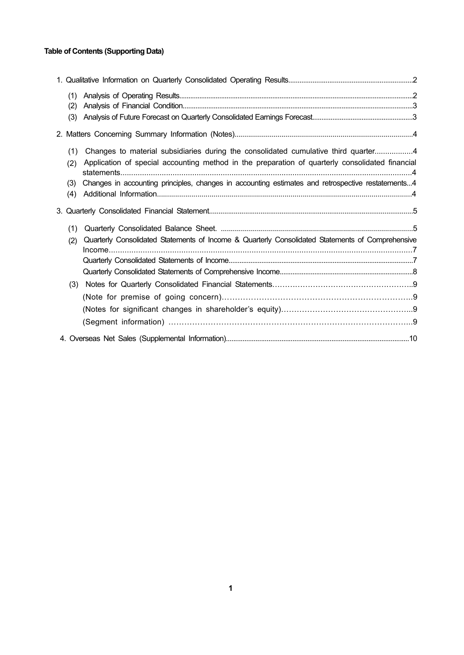## **Table of Contents (Supporting Data)**

| (1)        |                                                                                                                                                                                       |  |
|------------|---------------------------------------------------------------------------------------------------------------------------------------------------------------------------------------|--|
| (2)        |                                                                                                                                                                                       |  |
| (3)        |                                                                                                                                                                                       |  |
|            |                                                                                                                                                                                       |  |
| (1)<br>(2) | Changes to material subsidiaries during the consolidated cumulative third quarter4<br>Application of special accounting method in the preparation of quarterly consolidated financial |  |
| (3)<br>(4) | Changes in accounting principles, changes in accounting estimates and retrospective restatements4                                                                                     |  |
|            |                                                                                                                                                                                       |  |
| (1)        |                                                                                                                                                                                       |  |
| (2)        | Quarterly Consolidated Statements of Income & Quarterly Consolidated Statements of Comprehensive                                                                                      |  |
|            |                                                                                                                                                                                       |  |
|            |                                                                                                                                                                                       |  |
|            |                                                                                                                                                                                       |  |
| (3)        |                                                                                                                                                                                       |  |
|            |                                                                                                                                                                                       |  |
|            |                                                                                                                                                                                       |  |
|            |                                                                                                                                                                                       |  |
|            |                                                                                                                                                                                       |  |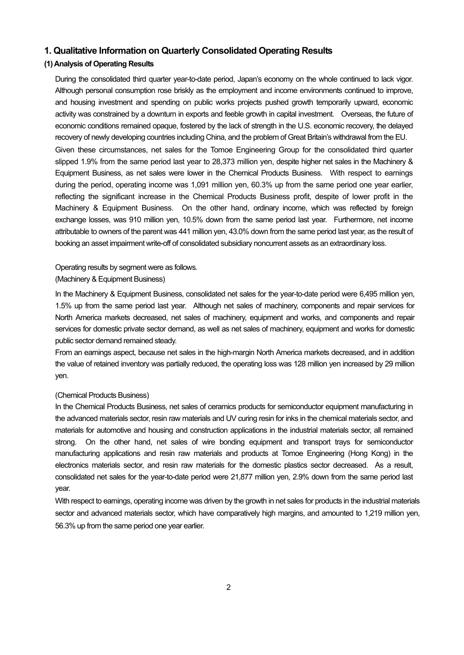## **1. Qualitative Information on Quarterly Consolidated Operating Results**

## **(1) Analysis of Operating Results**

During the consolidated third quarter year-to-date period, Japan's economy on the whole continued to lack vigor. Although personal consumption rose briskly as the employment and income environments continued to improve, and housing investment and spending on public works projects pushed growth temporarily upward, economic activity was constrained by a downturn in exports and feeble growth in capital investment. Overseas, the future of economic conditions remained opaque, fostered by the lack of strength in the U.S. economic recovery, the delayed recovery of newly developing countries including China, and the problem of Great Britain's withdrawal from the EU.

Given these circumstances, net sales for the Tomoe Engineering Group for the consolidated third quarter slipped 1.9% from the same period last year to 28,373 million yen, despite higher net sales in the Machinery & Equipment Business, as net sales were lower in the Chemical Products Business. With respect to earnings during the period, operating income was 1,091 million yen, 60.3% up from the same period one year earlier, reflecting the significant increase in the Chemical Products Business profit, despite of lower profit in the Machinery & Equipment Business. On the other hand, ordinary income, which was reflected by foreign exchange losses, was 910 million yen, 10.5% down from the same period last year. Furthermore, net income attributable to owners of the parent was 441 million yen, 43.0% down from the same period last year, as the result of booking an asset impairment write-off of consolidated subsidiary noncurrent assets as an extraordinary loss.

#### Operating results by segment were as follows.

#### (Machinery & Equipment Business)

In the Machinery & Equipment Business, consolidated net sales for the year-to-date period were 6,495 million yen, 1.5% up from the same period last year. Although net sales of machinery, components and repair services for North America markets decreased, net sales of machinery, equipment and works, and components and repair services for domestic private sector demand, as well as net sales of machinery, equipment and works for domestic public sector demand remained steady.

From an earnings aspect, because net sales in the high-margin North America markets decreased, and in addition the value of retained inventory was partially reduced, the operating loss was 128 million yen increased by 29 million yen.

#### (Chemical Products Business)

In the Chemical Products Business, net sales of ceramics products for semiconductor equipment manufacturing in the advanced materials sector, resin raw materials and UV curing resin for inks in the chemical materials sector, and materials for automotive and housing and construction applications in the industrial materials sector, all remained strong. On the other hand, net sales of wire bonding equipment and transport trays for semiconductor manufacturing applications and resin raw materials and products at Tomoe Engineering (Hong Kong) in the electronics materials sector, and resin raw materials for the domestic plastics sector decreased. As a result, consolidated net sales for the year-to-date period were 21,877 million yen, 2.9% down from the same period last year.

With respect to earnings, operating income was driven by the growth in net sales for products in the industrial materials sector and advanced materials sector, which have comparatively high margins, and amounted to 1,219 million yen, 56.3% up from the same period one year earlier.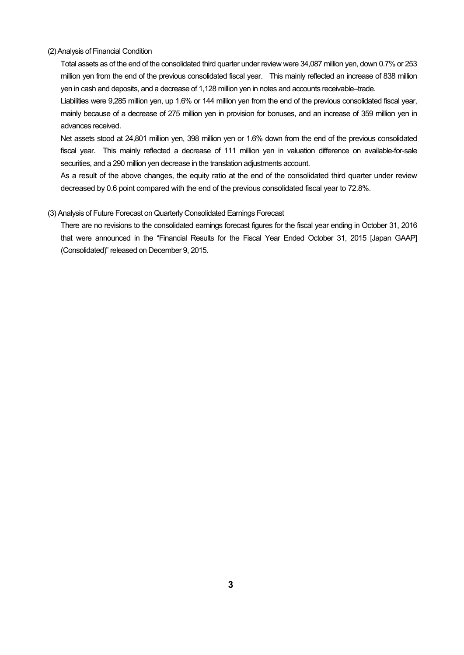#### (2) Analysis of Financial Condition

Total assets as of the end of the consolidated third quarter under review were 34,087 million yen, down 0.7% or 253 million yen from the end of the previous consolidated fiscal year. This mainly reflected an increase of 838 million yen in cash and deposits, and a decrease of 1,128 million yen in notes and accounts receivable–trade.

Liabilities were 9,285 million yen, up 1.6% or 144 million yen from the end of the previous consolidated fiscal year, mainly because of a decrease of 275 million yen in provision for bonuses, and an increase of 359 million yen in advances received.

Net assets stood at 24,801 million yen, 398 million yen or 1.6% down from the end of the previous consolidated fiscal year. This mainly reflected a decrease of 111 million yen in valuation difference on available-for-sale securities, and a 290 million yen decrease in the translation adjustments account.

As a result of the above changes, the equity ratio at the end of the consolidated third quarter under review decreased by 0.6 point compared with the end of the previous consolidated fiscal year to 72.8%.

#### (3) Analysis of Future Forecast on Quarterly Consolidated Earnings Forecast

There are no revisions to the consolidated earnings forecast figures for the fiscal year ending in October 31, 2016 that were announced in the "Financial Results for the Fiscal Year Ended October 31, 2015 [Japan GAAP] (Consolidated)" released on December 9, 2015.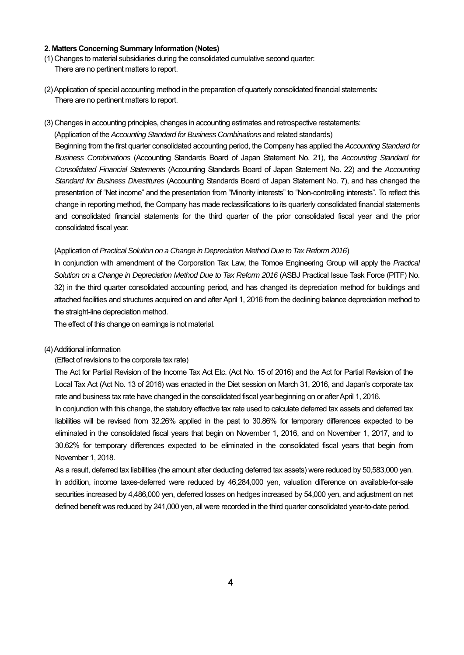#### **2. Matters Concerning Summary Information (Notes)**

- (1) Changes to material subsidiaries during the consolidated cumulative second quarter: There are no pertinent matters to report.
- (2) Application of special accounting method in the preparation of quarterly consolidated financial statements: There are no pertinent matters to report.
- (3) Changes in accounting principles, changes in accounting estimates and retrospective restatements:

(Application of the *Accounting Standard for Business Combinations* and related standards) Beginning from the first quarter consolidated accounting period, the Company has applied the *Accounting Standard for Business Combinations* (Accounting Standards Board of Japan Statement No. 21), the *Accounting Standard for Consolidated Financial Statements* (Accounting Standards Board of Japan Statement No. 22) and the *Accounting Standard for Business Divestitures* (Accounting Standards Board of Japan Statement No. 7), and has changed the presentation of "Net income" and the presentation from "Minority interests" to "Non-controlling interests". To reflect this change in reporting method, the Company has made reclassifications to its quarterly consolidated financial statements and consolidated financial statements for the third quarter of the prior consolidated fiscal year and the prior consolidated fiscal year.

#### (Application of *Practical Solution on a Change in Depreciation Method Due to Tax Reform 2016*)

In conjunction with amendment of the Corporation Tax Law, the Tomoe Engineering Group will apply the *Practical Solution on a Change in Depreciation Method Due to Tax Reform 2016* (ASBJ Practical Issue Task Force (PITF) No. 32) in the third quarter consolidated accounting period, and has changed its depreciation method for buildings and attached facilities and structures acquired on and after April 1, 2016 from the declining balance depreciation method to the straight-line depreciation method.

The effect of this change on earnings is not material.

#### (4) Additional information

(Effect of revisions to the corporate tax rate)

The Act for Partial Revision of the Income Tax Act Etc. (Act No. 15 of 2016) and the Act for Partial Revision of the Local Tax Act (Act No. 13 of 2016) was enacted in the Diet session on March 31, 2016, and Japan's corporate tax rate and business tax rate have changed in the consolidated fiscal year beginning on or after April 1, 2016.

In conjunction with this change, the statutory effective tax rate used to calculate deferred tax assets and deferred tax liabilities will be revised from 32.26% applied in the past to 30.86% for temporary differences expected to be eliminated in the consolidated fiscal years that begin on November 1, 2016, and on November 1, 2017, and to 30.62% for temporary differences expected to be eliminated in the consolidated fiscal years that begin from November 1, 2018.

As a result, deferred tax liabilities (the amount after deducting deferred tax assets) were reduced by 50,583,000 yen. In addition, income taxes-deferred were reduced by 46,284,000 yen, valuation difference on available-for-sale securities increased by 4,486,000 yen, deferred losses on hedges increased by 54,000 yen, and adjustment on net defined benefit was reduced by 241,000 yen, all were recorded in the third quarter consolidated year-to-date period.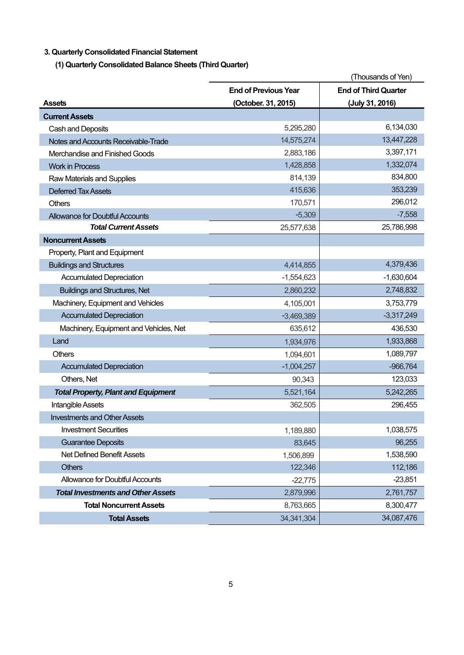## **3. Quarterly Consolidated Financial Statement**

**(1) Quarterly Consolidated Balance Sheets (Third Quarter)** 

|                                            |                             | (Thousands of Yen)          |
|--------------------------------------------|-----------------------------|-----------------------------|
|                                            | <b>End of Previous Year</b> | <b>End of Third Quarter</b> |
| <b>Assets</b>                              | (October. 31, 2015)         | (July 31, 2016)             |
| <b>Current Assets</b>                      |                             |                             |
| Cash and Deposits                          | 5,295,280                   | 6,134,030                   |
| Notes and Accounts Receivable-Trade        | 14,575,274                  | 13,447,228                  |
| Merchandise and Finished Goods             | 2,883,186                   | 3,397,171                   |
| <b>Work in Process</b>                     | 1,428,858                   | 1,332,074                   |
| Raw Materials and Supplies                 | 814,139                     | 834,800                     |
| <b>Deferred Tax Assets</b>                 | 415,636                     | 353,239                     |
| <b>Others</b>                              | 170,571                     | 296,012                     |
| <b>Allowance for Doubtful Accounts</b>     | $-5,309$                    | $-7,558$                    |
| <b>Total Current Assets</b>                | 25,577,638                  | 25,786,998                  |
| <b>Noncurrent Assets</b>                   |                             |                             |
| Property, Plant and Equipment              |                             |                             |
| <b>Buildings and Structures</b>            | 4,414,855                   | 4,379,436                   |
| <b>Accumulated Depreciation</b>            | $-1,554,623$                | $-1,630,604$                |
| <b>Buildings and Structures, Net</b>       | 2,860,232                   | 2,748,832                   |
| Machinery, Equipment and Vehicles          | 4,105,001                   | 3,753,779                   |
| <b>Accumulated Depreciation</b>            | $-3,469,389$                | $-3,317,249$                |
| Machinery, Equipment and Vehicles, Net     | 635,612                     | 436,530                     |
| Land                                       | 1,934,976                   | 1,933,868                   |
| <b>Others</b>                              | 1,094,601                   | 1,089,797                   |
| <b>Accumulated Depreciation</b>            | $-1,004,257$                | $-966,764$                  |
| Others, Net                                | 90,343                      | 123,033                     |
| <b>Total Property, Plant and Equipment</b> | 5,521,164                   | 5,242,265                   |
| Intangible Assets                          | 362,505                     | 296,455                     |
| <b>Investments and Other Assets</b>        |                             |                             |
| <b>Investment Securities</b>               | 1,189,880                   | 1,038,575                   |
| <b>Guarantee Deposits</b>                  | 83,645                      | 96,255                      |
| Net Defined Benefit Assets                 | 1,506,899                   | 1,538,590                   |
| <b>Others</b>                              | 122,346                     | 112,186                     |
| Allowance for Doubtful Accounts            | $-22,775$                   | $-23,851$                   |
| <b>Total Investments and Other Assets</b>  | 2,879,996                   | 2,761,757                   |
| <b>Total Noncurrent Assets</b>             | 8,763,665                   | 8,300,477                   |
| <b>Total Assets</b>                        | 34, 341, 304                | 34,087,476                  |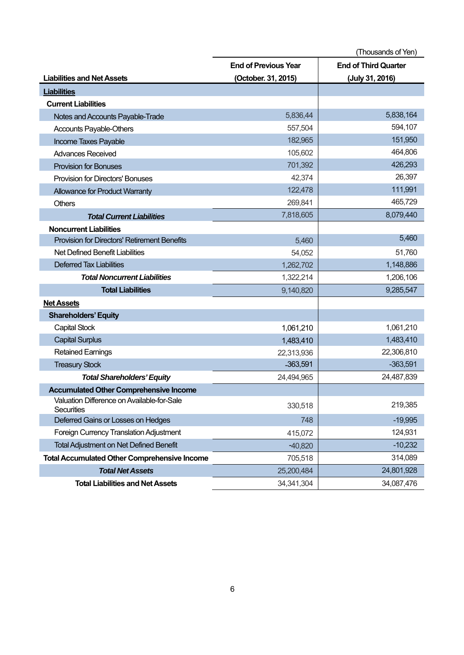|                                                          |                             | (Thousands of Yen)          |
|----------------------------------------------------------|-----------------------------|-----------------------------|
|                                                          | <b>End of Previous Year</b> | <b>End of Third Quarter</b> |
| <b>Liabilities and Net Assets</b>                        | (October. 31, 2015)         | (July 31, 2016)             |
| <b>Liabilities</b>                                       |                             |                             |
| <b>Current Liabilities</b>                               |                             |                             |
| Notes and Accounts Payable-Trade                         | 5,836,44                    | 5,838,164                   |
| Accounts Payable-Others                                  | 557,504                     | 594,107                     |
| Income Taxes Payable                                     | 182,965                     | 151,950                     |
| <b>Advances Received</b>                                 | 105,602                     | 464,806                     |
| <b>Provision for Bonuses</b>                             | 701,392                     | 426,293                     |
| <b>Provision for Directors' Bonuses</b>                  | 42,374                      | 26,397                      |
| <b>Allowance for Product Warranty</b>                    | 122,478                     | 111,991                     |
| <b>Others</b>                                            | 269,841                     | 465,729                     |
| <b>Total Current Liabilities</b>                         | 7,818,605                   | 8,079,440                   |
| <b>Noncurrent Liabilities</b>                            |                             |                             |
| <b>Provision for Directors' Retirement Benefits</b>      | 5,460                       | 5,460                       |
| Net Defined Benefit Liabilities                          | 54,052                      | 51,760                      |
| <b>Deferred Tax Liabilities</b>                          | 1,262,702                   | 1,148,886                   |
| <b>Total Noncurrent Liabilities</b>                      | 1,322,214                   | 1,206,106                   |
| <b>Total Liabilities</b>                                 | 9,140,820                   | 9,285,547                   |
| <b>Net Assets</b>                                        |                             |                             |
| <b>Shareholders' Equity</b>                              |                             |                             |
| <b>Capital Stock</b>                                     | 1,061,210                   | 1,061,210                   |
| <b>Capital Surplus</b>                                   | 1,483,410                   | 1,483,410                   |
| <b>Retained Earnings</b>                                 | 22,313,936                  | 22,306,810                  |
| <b>Treasury Stock</b>                                    | -363,591                    | $-363,591$                  |
| <b>Total Shareholders' Equity</b>                        | 24,494,965                  | 24,487,839                  |
| <b>Accumulated Other Comprehensive Income</b>            |                             |                             |
| Valuation Difference on Available-for-Sale<br>Securities | 330,518                     | 219,385                     |
| Deferred Gains or Losses on Hedges                       | 748                         | $-19,995$                   |
| Foreign Currency Translation Adjustment                  | 415,072                     | 124,931                     |
| <b>Total Adjustment on Net Defined Benefit</b>           | $-40,820$                   | $-10,232$                   |
| <b>Total Accumulated Other Comprehensive Income</b>      | 705,518                     | 314,089                     |
| <b>Total Net Assets</b>                                  | 25,200,484                  | 24,801,928                  |
| <b>Total Liabilities and Net Assets</b>                  | 34, 341, 304                | 34,087,476                  |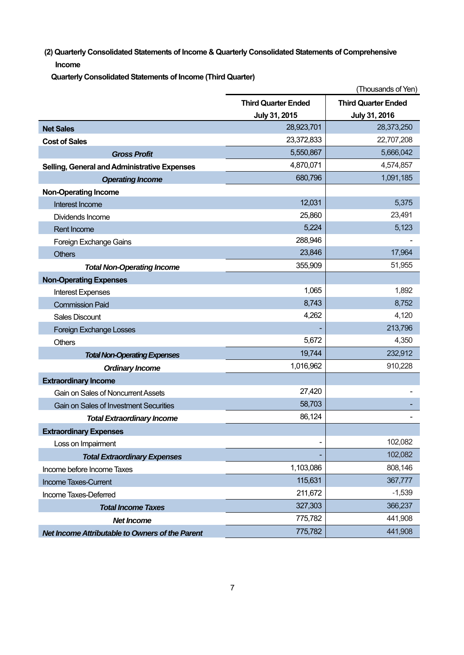**(2) Quarterly Consolidated Statements of Income & Quarterly Consolidated Statements of Comprehensive Income** 

**Quarterly Consolidated Statements of Income (Third Quarter)** 

|                                                 |                            | (Thousands of Yen)         |
|-------------------------------------------------|----------------------------|----------------------------|
|                                                 | <b>Third Quarter Ended</b> | <b>Third Quarter Ended</b> |
|                                                 | July 31, 2015              | July 31, 2016              |
| <b>Net Sales</b>                                | 28,923,701                 | 28,373,250                 |
| <b>Cost of Sales</b>                            | 23,372,833                 | 22,707,208                 |
| <b>Gross Profit</b>                             | 5,550,867                  | 5,666,042                  |
| Selling, General and Administrative Expenses    | 4,870,071                  | 4,574,857                  |
| <b>Operating Income</b>                         | 680,796                    | 1,091,185                  |
| <b>Non-Operating Income</b>                     |                            |                            |
| Interest Income                                 | 12,031                     | 5,375                      |
| Dividends Income                                | 25,860                     | 23,491                     |
| <b>Rent Income</b>                              | 5,224                      | 5,123                      |
| Foreign Exchange Gains                          | 288,946                    |                            |
| <b>Others</b>                                   | 23,846                     | 17,964                     |
| <b>Total Non-Operating Income</b>               | 355,909                    | 51,955                     |
| <b>Non-Operating Expenses</b>                   |                            |                            |
| <b>Interest Expenses</b>                        | 1,065                      | 1,892                      |
| <b>Commission Paid</b>                          | 8,743                      | 8,752                      |
| <b>Sales Discount</b>                           | 4,262                      | 4,120                      |
| <b>Foreign Exchange Losses</b>                  |                            | 213,796                    |
| <b>Others</b>                                   | 5,672                      | 4,350                      |
| <b>Total Non-Operating Expenses</b>             | 19,744                     | 232,912                    |
| <b>Ordinary Income</b>                          | 1,016,962                  | 910,228                    |
| <b>Extraordinary Income</b>                     |                            |                            |
| Gain on Sales of Noncurrent Assets              | 27,420                     |                            |
| <b>Gain on Sales of Investment Securities</b>   | 58,703                     |                            |
| <b>Total Extraordinary Income</b>               | 86,124                     |                            |
| <b>Extraordinary Expenses</b>                   |                            |                            |
| Loss on Impairment                              |                            | 102,082                    |
| <b>Total Extraordinary Expenses</b>             |                            | 102,082                    |
| Income before Income Taxes                      | 1,103,086                  | 808,146                    |
| Income Taxes-Current                            | 115,631                    | 367,777                    |
| Income Taxes-Deferred                           | 211,672                    | $-1,539$                   |
| <b>Total Income Taxes</b>                       | 327,303                    | 366,237                    |
| <b>Net Income</b>                               | 775,782                    | 441,908                    |
| Net Income Attributable to Owners of the Parent | 775,782                    | 441,908                    |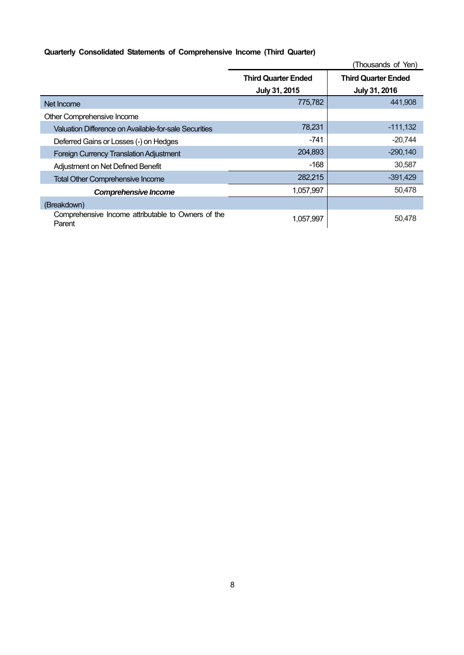## **Quarterly Consolidated Statements of Comprehensive Income (Third Quarter)**

|                                                              | (Thousands of Yen)         |                            |  |
|--------------------------------------------------------------|----------------------------|----------------------------|--|
|                                                              | <b>Third Quarter Ended</b> | <b>Third Quarter Ended</b> |  |
|                                                              | July 31, 2015              | July 31, 2016              |  |
| Net Income                                                   | 775,782                    | 441,908                    |  |
| Other Comprehensive Income                                   |                            |                            |  |
| Valuation Difference on Available-for-sale Securities        | 78,231                     | $-111,132$                 |  |
| Deferred Gains or Losses (-) on Hedges                       | -741                       | $-20,744$                  |  |
| <b>Foreign Currency Translation Adjustment</b>               | 204,893                    | $-290,140$                 |  |
| Adjustment on Net Defined Benefit                            | $-168$                     | 30,587                     |  |
| <b>Total Other Comprehensive Income</b>                      | 282,215                    | $-391,429$                 |  |
| <b>Comprehensive Income</b>                                  | 1,057,997                  | 50,478                     |  |
| (Breakdown)                                                  |                            |                            |  |
| Comprehensive Income attributable to Owners of the<br>Parent | 1,057,997                  | 50,478                     |  |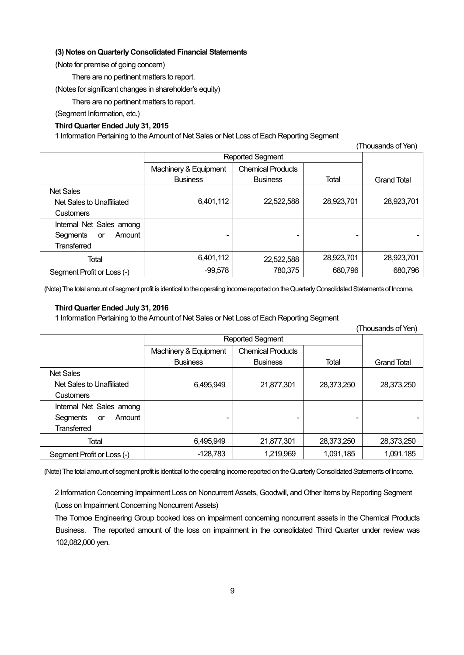#### **(3) Notes on Quarterly Consolidated Financial Statements**

(Note for premise of going concern)

There are no pertinent matters to report.

(Notes for significant changes in shareholder's equity)

There are no pertinent matters to report.

(Segment Information, etc.)

### **Third Quarter Ended July 31, 2015**

1 Information Pertaining to the Amount of Net Sales or Net Loss of Each Reporting Segment

|                            |                         |                          |            | (Thousands of Yen) |
|----------------------------|-------------------------|--------------------------|------------|--------------------|
|                            | <b>Reported Segment</b> |                          |            |                    |
|                            | Machinery & Equipment   | <b>Chemical Products</b> |            |                    |
|                            | <b>Business</b>         | <b>Business</b>          | Total      | <b>Grand Total</b> |
| <b>Net Sales</b>           |                         |                          |            |                    |
| Net Sales to Unaffiliated  | 6,401,112               | 22,522,588               | 28,923,701 | 28,923,701         |
| <b>Customers</b>           |                         |                          |            |                    |
| Internal Net Sales among   |                         |                          |            |                    |
| Amount<br>Segments<br>or   | ۰                       | $\equiv$                 | -          |                    |
| <b>Transferred</b>         |                         |                          |            |                    |
| Total                      | 6,401,112               | 22,522,588               | 28,923,701 | 28,923,701         |
| Segment Profit or Loss (-) | $-99,578$               | 780,375                  | 680,796    | 680,796            |

(Note) The total amount of segment profit is identical to the operating income reported on the Quarterly Consolidated Statements of Income.

## **Third Quarter Ended July 31, 2016**

1 Information Pertaining to the Amount of Net Sales or Net Loss of Each Reporting Segment

(Thousands of Yen)

|                                 | Reported Segment      |                          |            |                    |
|---------------------------------|-----------------------|--------------------------|------------|--------------------|
|                                 | Machinery & Equipment | <b>Chemical Products</b> |            |                    |
|                                 | <b>Business</b>       | <b>Business</b>          | Total      | <b>Grand Total</b> |
| <b>Net Sales</b>                |                       |                          |            |                    |
| Net Sales to Unaffiliated       | 6,495,949             | 21,877,301               | 28,373,250 | 28,373,250         |
| <b>Customers</b>                |                       |                          |            |                    |
| Internal Net Sales among        |                       |                          |            |                    |
| Segments<br>Amount<br><b>or</b> |                       |                          |            |                    |
| <b>Transferred</b>              |                       |                          |            |                    |
| Total                           | 6,495,949             | 21,877,301               | 28,373,250 | 28,373,250         |
| Segment Profit or Loss (-)      | $-128,783$            | 1,219,969                | 1,091,185  | 1,091,185          |

(Note) The total amount of segment profit is identical to the operating income reported on the Quarterly Consolidated Statements of Income.

2 Information Concerning Impairment Loss on Noncurrent Assets, Goodwill, and Other Items by Reporting Segment (Loss on Impairment Concerning Noncurrent Assets)

The Tomoe Engineering Group booked loss on impairment concerning noncurrent assets in the Chemical Products Business. The reported amount of the loss on impairment in the consolidated Third Quarter under review was 102,082,000 yen.